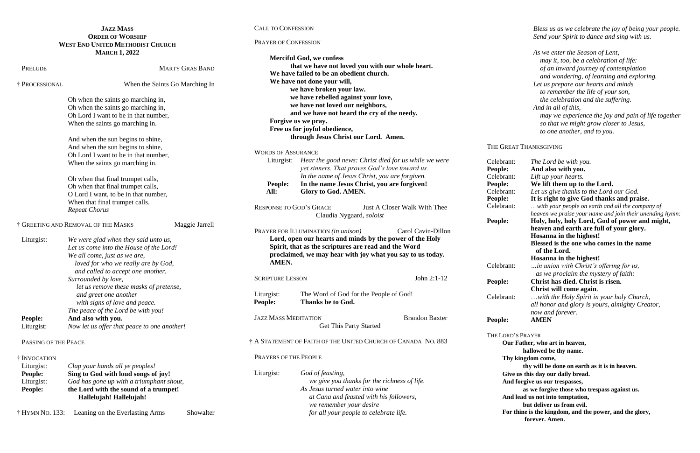## **JAZZ MASS ORDER OF WORSHIP WEST END UNITED METHODIST CHURCH MARCH 1, 2022**

CALL TO CONFESSION

PRAYER OF CONFESSION

| 111ANC11 1, 2022                                                 |                                                                                                                                                                                                                                                                                                          |                        |                                                                                                                                                                                         | <b>Merciful God, we confess</b>                |                              |
|------------------------------------------------------------------|----------------------------------------------------------------------------------------------------------------------------------------------------------------------------------------------------------------------------------------------------------------------------------------------------------|------------------------|-----------------------------------------------------------------------------------------------------------------------------------------------------------------------------------------|------------------------------------------------|------------------------------|
| PRELUDE                                                          |                                                                                                                                                                                                                                                                                                          | <b>MARTY GRAS BAND</b> | that we have not loved you with our whole heart.                                                                                                                                        |                                                |                              |
|                                                                  |                                                                                                                                                                                                                                                                                                          |                        | We have failed to be an obedient church.                                                                                                                                                |                                                |                              |
| † PROCESSIONAL                                                   | When the Saints Go Marching In                                                                                                                                                                                                                                                                           |                        | We have not done your will,                                                                                                                                                             |                                                |                              |
|                                                                  |                                                                                                                                                                                                                                                                                                          |                        | we have broken your law.                                                                                                                                                                |                                                |                              |
|                                                                  |                                                                                                                                                                                                                                                                                                          |                        | we have rebelled against your love,                                                                                                                                                     |                                                |                              |
|                                                                  | Oh when the saints go marching in,<br>Oh when the saints go marching in,<br>Oh Lord I want to be in that number.<br>When the saints go marching in.<br>And when the sun begins to shine,<br>And when the sun begins to shine,<br>Oh Lord I want to be in that number,<br>When the saints go marching in. |                        | we have not loved our neighbors,<br>and we have not heard the cry of the needy.<br>Forgive us we pray.<br>Free us for joyful obedience,<br>through Jesus Christ our Lord. Amen.         |                                                |                              |
|                                                                  |                                                                                                                                                                                                                                                                                                          |                        |                                                                                                                                                                                         |                                                |                              |
|                                                                  |                                                                                                                                                                                                                                                                                                          |                        |                                                                                                                                                                                         |                                                |                              |
|                                                                  |                                                                                                                                                                                                                                                                                                          |                        |                                                                                                                                                                                         |                                                |                              |
|                                                                  |                                                                                                                                                                                                                                                                                                          |                        |                                                                                                                                                                                         |                                                |                              |
|                                                                  |                                                                                                                                                                                                                                                                                                          |                        |                                                                                                                                                                                         |                                                |                              |
|                                                                  |                                                                                                                                                                                                                                                                                                          |                        |                                                                                                                                                                                         |                                                |                              |
|                                                                  |                                                                                                                                                                                                                                                                                                          |                        | <b>WORDS OF ASSURANCE</b><br>Liturgist:<br>Hear the good news: Christ died for us while we were<br>yet sinners. That proves God's love toward us.                                       |                                                |                              |
|                                                                  |                                                                                                                                                                                                                                                                                                          |                        |                                                                                                                                                                                         |                                                |                              |
|                                                                  |                                                                                                                                                                                                                                                                                                          |                        |                                                                                                                                                                                         | In the name of Jesus Christ, you are forgiven. |                              |
|                                                                  | Oh when that final trumpet calls,                                                                                                                                                                                                                                                                        |                        |                                                                                                                                                                                         |                                                |                              |
| Oh when that final trumpet calls,                                |                                                                                                                                                                                                                                                                                                          |                        | People:                                                                                                                                                                                 | In the name Jesus Christ, you are forgiven!    |                              |
|                                                                  | O Lord I want, to be in that number,                                                                                                                                                                                                                                                                     |                        | All:                                                                                                                                                                                    | Glory to God. AMEN.                            |                              |
| When that final trumpet calls.                                   |                                                                                                                                                                                                                                                                                                          |                        |                                                                                                                                                                                         |                                                |                              |
| <b>Repeat Chorus</b>                                             |                                                                                                                                                                                                                                                                                                          |                        | <b>RESPONSE TO GOD'S GRACE</b>                                                                                                                                                          |                                                | Just A Closer Walk With Thee |
|                                                                  |                                                                                                                                                                                                                                                                                                          |                        |                                                                                                                                                                                         | Claudia Nygaard, soloist                       |                              |
| <sup>†</sup> GREETING AND REMOVAL OF THE MASKS<br>Maggie Jarrell |                                                                                                                                                                                                                                                                                                          |                        |                                                                                                                                                                                         |                                                |                              |
|                                                                  |                                                                                                                                                                                                                                                                                                          |                        |                                                                                                                                                                                         | PRAYER FOR ILLUMINATION (in unison)            | Carol Cavin-Dillon           |
| Liturgist:                                                       | We were glad when they said unto us,                                                                                                                                                                                                                                                                     |                        | Lord, open our hearts and minds by the power of the Holy<br>Spirit, that as the scriptures are read and the Word<br>proclaimed, we may hear with joy what you say to us today.<br>AMEN. |                                                |                              |
|                                                                  | Let us come into the House of the Lord!<br>We all come, just as we are,<br>loved for who we really are by God,<br>and called to accept one another.<br>Surrounded by love,<br>let us remove these masks of pretense,<br>and greet one another                                                            |                        |                                                                                                                                                                                         |                                                |                              |
|                                                                  |                                                                                                                                                                                                                                                                                                          |                        |                                                                                                                                                                                         |                                                |                              |
|                                                                  |                                                                                                                                                                                                                                                                                                          |                        |                                                                                                                                                                                         |                                                |                              |
|                                                                  |                                                                                                                                                                                                                                                                                                          |                        |                                                                                                                                                                                         |                                                |                              |
|                                                                  |                                                                                                                                                                                                                                                                                                          |                        | <b>SCRIPTURE LESSON</b>                                                                                                                                                                 |                                                | John 2:1-12                  |
|                                                                  |                                                                                                                                                                                                                                                                                                          |                        |                                                                                                                                                                                         |                                                |                              |
|                                                                  |                                                                                                                                                                                                                                                                                                          |                        | Liturgist:                                                                                                                                                                              | The Word of God for the People of God!         |                              |
|                                                                  | with signs of love and peace.                                                                                                                                                                                                                                                                            |                        | People:                                                                                                                                                                                 | <b>Thanks be to God.</b>                       |                              |
|                                                                  | The peace of the Lord be with you!                                                                                                                                                                                                                                                                       |                        |                                                                                                                                                                                         |                                                |                              |
| <b>People:</b>                                                   | And also with you.                                                                                                                                                                                                                                                                                       |                        | <b>JAZZ MASS MEDITATION</b>                                                                                                                                                             |                                                | <b>Brandon Baxter</b>        |
| Liturgist:                                                       | Now let us offer that peace to one another!                                                                                                                                                                                                                                                              |                        |                                                                                                                                                                                         | Get This Party Started                         |                              |
|                                                                  |                                                                                                                                                                                                                                                                                                          |                        |                                                                                                                                                                                         |                                                |                              |
| PASSING OF THE PEACE                                             |                                                                                                                                                                                                                                                                                                          |                        | † A STATEMENT OF FAITH OF THE UNITED CHURCH OF CANADA NO. 883                                                                                                                           |                                                |                              |
| † INVOCATION                                                     |                                                                                                                                                                                                                                                                                                          |                        | PRAYERS OF THE PEOPLE                                                                                                                                                                   |                                                |                              |
| Liturgist:                                                       | Clap your hands all ye peoples!                                                                                                                                                                                                                                                                          |                        |                                                                                                                                                                                         |                                                |                              |
| People:                                                          | Sing to God with loud songs of joy!                                                                                                                                                                                                                                                                      |                        | Liturgist:                                                                                                                                                                              | God of feasting,                               |                              |
| Liturgist:                                                       | God has gone up with a triumphant shout,                                                                                                                                                                                                                                                                 |                        |                                                                                                                                                                                         | we give you thanks for the richness of life.   |                              |
|                                                                  | the Lord with the sound of a trumpet!                                                                                                                                                                                                                                                                    |                        |                                                                                                                                                                                         | As Jesus turned water into wine                |                              |
| <b>People:</b>                                                   | Hallelujah! Hallelujah!                                                                                                                                                                                                                                                                                  |                        |                                                                                                                                                                                         | at Cana and feasted with his followers,        |                              |
|                                                                  |                                                                                                                                                                                                                                                                                                          |                        |                                                                                                                                                                                         | we remember your desire                        |                              |
| † HYMN NO. 133:                                                  | Leaning on the Everlasting Arms                                                                                                                                                                                                                                                                          | Showalter              |                                                                                                                                                                                         | for all your people to celebrate life.         |                              |
|                                                                  |                                                                                                                                                                                                                                                                                                          |                        |                                                                                                                                                                                         |                                                |                              |

*Bless us as we celebrate the joy of being your people. Send your Spirit to dance and sing with us.*

*As we enter the Season of Lent, may it, too, be a celebration of life: of an inward journey of contemplation and wondering, of learning and exploring. Let us prepare our hearts and minds to remember the life of your son, the celebration and the suffering. And in all of this, may we experience the joy and pain of life together so that we might grow closer to Jesus, to one another, and to you.*

#### THE GREAT THANKSGIVING

Celebrant: *The Lord be with you.* **People: And also with you.** Celebrant: *Lift up your hearts.* **People: We lift them up to the Lord.** Celebrant: *Let us give thanks to the Lord our God.* **People: It is right to give God thanks and praise.** Celebrant: …*with your people on earth and all the company of heaven we praise your name and join their unending hymn:*  **People: Holy, holy, holy Lord, God of power and might, heaven and earth are full of your glory. Hosanna in the highest! Blessed is the one who comes in the name of the Lord. Hosanna in the highest!** Celebrant: *…in union with Christ's offering for us, as we proclaim the mystery of faith:* **People: Christ has died. Christ is risen. Christ will come again**. Celebrant: …*with the Holy Spirit in your holy Church, all honor and glory is yours, almighty Creator, now and forever.* **People: AMEN** THE LORD'S PRAYER **Our Father, who art in heaven,** 

**hallowed be thy name. Thy kingdom come, thy will be done on earth as it is in heaven. Give us this day our daily bread. And forgive us our trespasses, as we forgive those who trespass against us. And lead us not into temptation, but deliver us from evil. For thine is the kingdom, and the power, and the glory,**

**forever. Amen.**